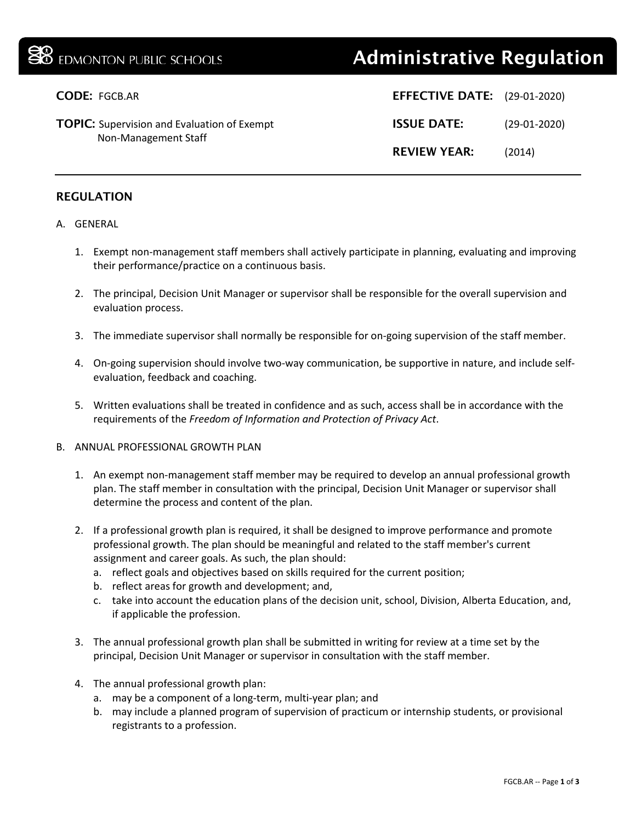# **38** EDMONTON PUBLIC SCHOOLS **Administrative Regulation**

| <b>CODE: FGCB.AR</b>                                                       | <b>EFFECTIVE DATE:</b> (29-01-2020) |                |
|----------------------------------------------------------------------------|-------------------------------------|----------------|
| <b>TOPIC:</b> Supervision and Evaluation of Exempt<br>Non-Management Staff | <b>ISSUE DATE:</b>                  | $(29-01-2020)$ |
|                                                                            | <b>REVIEW YEAR:</b>                 | (2014)         |

## REGULATION

#### A. GENERAL

- 1. Exempt non-management staff members shall actively participate in planning, evaluating and improving their performance/practice on a continuous basis.
- 2. The principal, Decision Unit Manager or supervisor shall be responsible for the overall supervision and evaluation process.
- 3. The immediate supervisor shall normally be responsible for on-going supervision of the staff member.
- 4. On-going supervision should involve two-way communication, be supportive in nature, and include selfevaluation, feedback and coaching.
- 5. Written evaluations shall be treated in confidence and as such, access shall be in accordance with the requirements of the *Freedom of Information and Protection of Privacy Act*.

#### B. ANNUAL PROFESSIONAL GROWTH PLAN

- 1. An exempt non-management staff member may be required to develop an annual professional growth plan. The staff member in consultation with the principal, Decision Unit Manager or supervisor shall determine the process and content of the plan.
- 2. If a professional growth plan is required, it shall be designed to improve performance and promote professional growth. The plan should be meaningful and related to the staff member's current assignment and career goals. As such, the plan should:
	- a. reflect goals and objectives based on skills required for the current position;
	- b. reflect areas for growth and development; and,
	- c. take into account the education plans of the decision unit, school, Division, Alberta Education, and, if applicable the profession.
- 3. The annual professional growth plan shall be submitted in writing for review at a time set by the principal, Decision Unit Manager or supervisor in consultation with the staff member.
- 4. The annual professional growth plan:
	- a. may be a component of a long-term, multi-year plan; and
	- b. may include a planned program of supervision of practicum or internship students, or provisional registrants to a profession.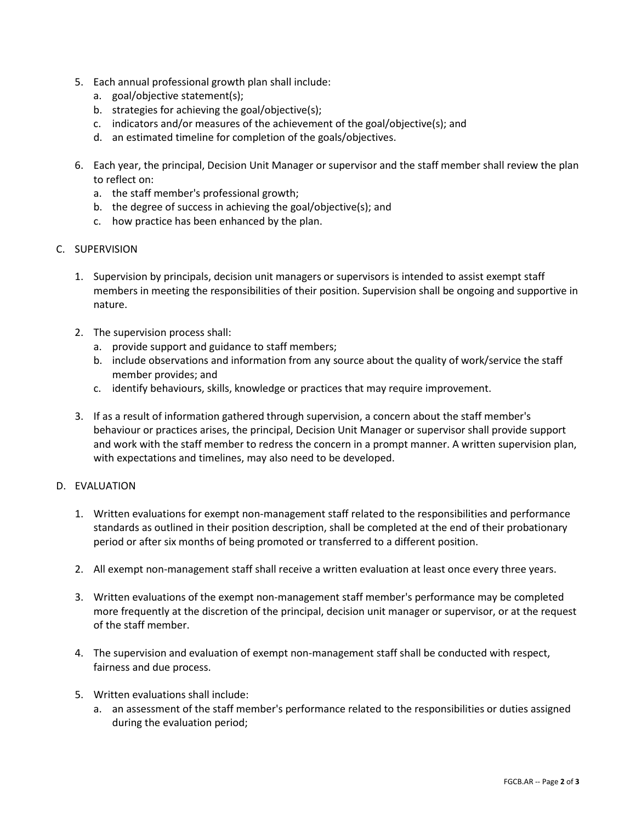- 5. Each annual professional growth plan shall include:
	- a. goal/objective statement(s);
	- b. strategies for achieving the goal/objective(s);
	- c. indicators and/or measures of the achievement of the goal/objective(s); and
	- d. an estimated timeline for completion of the goals/objectives.
- 6. Each year, the principal, Decision Unit Manager or supervisor and the staff member shall review the plan to reflect on:
	- a. the staff member's professional growth;
	- b. the degree of success in achieving the goal/objective(s); and
	- c. how practice has been enhanced by the plan.

## C. SUPERVISION

- 1. Supervision by principals, decision unit managers or supervisors is intended to assist exempt staff members in meeting the responsibilities of their position. Supervision shall be ongoing and supportive in nature.
- 2. The supervision process shall:
	- a. provide support and guidance to staff members;
	- b. include observations and information from any source about the quality of work/service the staff member provides; and
	- c. identify behaviours, skills, knowledge or practices that may require improvement.
- 3. If as a result of information gathered through supervision, a concern about the staff member's behaviour or practices arises, the principal, Decision Unit Manager or supervisor shall provide support and work with the staff member to redress the concern in a prompt manner. A written supervision plan, with expectations and timelines, may also need to be developed.

## D. EVALUATION

- 1. Written evaluations for exempt non-management staff related to the responsibilities and performance standards as outlined in their position description, shall be completed at the end of their probationary period or after six months of being promoted or transferred to a different position.
- 2. All exempt non-management staff shall receive a written evaluation at least once every three years.
- 3. Written evaluations of the exempt non-management staff member's performance may be completed more frequently at the discretion of the principal, decision unit manager or supervisor, or at the request of the staff member.
- 4. The supervision and evaluation of exempt non-management staff shall be conducted with respect, fairness and due process.
- 5. Written evaluations shall include:
	- a. an assessment of the staff member's performance related to the responsibilities or duties assigned during the evaluation period;